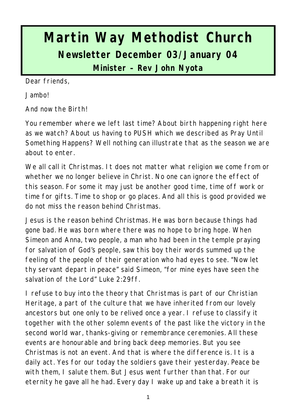# **Martin Way Methodist Church Newsletter December 03/January 04**

**Minister – Rev John Nyota**

Dear friends,

Jambo!

And now the Birth!

You remember where we left last time? About birth happening right here as we watch? About us having to PUSH which we described as Pray Until Something Happens? Well nothing can illustrate that as the season we are about to enter.

We all call it Christmas. It does not matter what religion we come from or whether we no longer believe in Christ. No one can ignore the effect of this season. For some it may just be another good time, time off work or time for gifts. Time to shop or go places. And all this is good provided we do not miss the reason behind Christmas.

Jesus is the reason behind Christmas. He was born because things had gone bad. He was born where there was no hope to bring hope. When Simeon and Anna, two people, a man who had been in the temple praying for salvation of God's people, saw this boy their words summed up the feeling of the people of their generation who had eyes to see. "Now let thy servant depart in peace" said Simeon, "for mine eyes have seen the salvation of the Lord" Luke 2:29ff.

I refuse to buy into the theory that Christmas is part of our Christian Heritage, a part of the culture that we have inherited from our lovely ancestors but one only to be relived once a year. I refuse to classify it together with the other solemn events of the past like the victory in the second world war, thanks-giving or remembrance ceremonies. All these events are honourable and bring back deep memories. But you see Christmas is not an event. And that is where the difference is. It is a daily act. Yes for our today the soldiers gave their yesterday. Peace be with them, I salute them. But Jesus went further than that. For our eternity he gave all he had. Every day I wake up and take a breath it is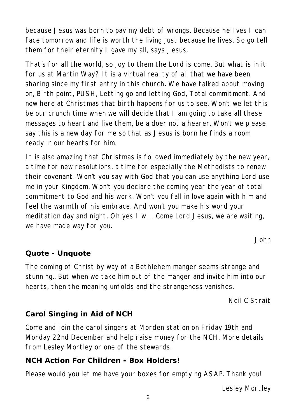because Jesus was born to pay my debt of wrongs. Because he lives I can face tomorrow and life is worth the living just because he lives. So go tell them for their eternity I gave my all, says Jesus.

That's for all the world, so joy to them the Lord is come. But what is in it for us at Martin Way? It is a virtual reality of all that we have been sharing since my first entry in this church. We have talked about moving on, Birth point, PUSH, Letting go and letting God, Total commitment. And now here at Christmas that birth happens for us to see. Won't we let this be our crunch time when we will decide that I am going to take all these messages to heart and live them, be a doer not a hearer. Won't we please say this is a new day for me so that as Jesus is born he finds a room ready in our hearts for him.

It is also amazing that Christmas is followed immediately by the new year, a time for new resolutions, a time for especially the Methodists to renew their covenant. Won't you say with God that you can use anything Lord use me in your Kingdom. Won't you declare the coming year the year of total commitment to God and his work. Won't you fall in love again with him and feel the warmth of his embrace. And won't you make his word your meditation day and night. Oh yes I will. Come Lord Jesus, we are waiting, we have made way for you.

*John*

#### **Quote - Unquote**

The coming of Christ by way of a Bethlehem manger seems strange and stunning.. But when we take him out of the manger and invite him into our hearts, then the meaning unfolds and the strangeness vanishes.

*Neil C Strait*

#### **Carol Singing in Aid of NCH**

Come and join the carol singers at Morden station on Friday 19th and Monday 22nd December and help raise money for the NCH. More details from Lesley Mortley or one of the stewards.

#### **NCH Action For Children - Box Holders!**

Please would you let me have your boxes for emptying ASAP. Thank you!

*Lesley Mortley*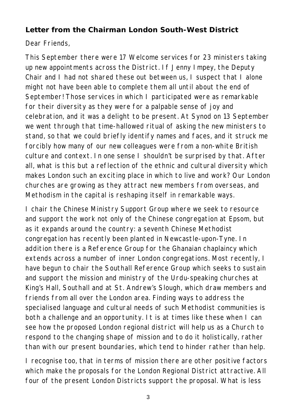#### **Letter from the Chairman London South-West District**

#### Dear Friends,

This September there were 17 Welcome services for 23 ministers taking up new appointments across the District. If Jenny Impey, the Deputy Chair and I had not shared these out between us, I suspect that I alone might not have been able to complete them all until about the end of September! Those services in which I participated were as remarkable for their diversity as they were for a palpable sense of joy and celebration, and it was a delight to be present. At Synod on 13 September we went through that time-hallowed ritual of asking the new ministers to stand, so that we could briefly identify names and faces, and it struck me forcibly how many of our new colleagues were from a non-white British culture and context. In one sense I shouldn't be surprised by that. After all, what is this but a reflection of the ethnic and cultural diversity which makes London such an exciting place in which to live and work? Our London churches are growing as they attract new members from overseas, and Methodism in the capital is reshaping itself in remarkable ways.

I chair the Chinese Ministry Support Group where we seek to resource and support the work not only of the Chinese congregation at Epsom, but as it expands around the country: a seventh Chinese Methodist congregation has recently been planted in Newcastle-upon-Tyne. In addition there is a Reference Group for the Ghanaian chaplaincy which extends across a number of inner London congregations. Most recently, I have begun to chair the Southall Reference Group which seeks to sustain and support the mission and ministry of the Urdu-speaking churches at King's Hall, Southall and at St. Andrew's Slough, which draw members and friends from all over the London area. Finding ways to address the specialised language and cultural needs of such Methodist communities is both a challenge and an opportunity. It is at times like these when I can see how the proposed London regional district will help us as a Church to respond to the changing shape of mission and to do it holistically, rather than with our present boundaries, which tend to hinder rather than help.

I recognise too, that in terms of mission there are other positive factors which make the proposals for the London Regional District attractive. All four of the present London Districts support the proposal. What is less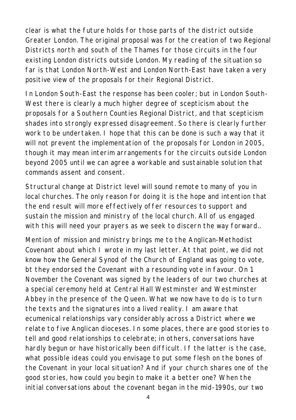clear is what the future holds for those parts of the district outside Greater London. The original proposal was for the creation of two Regional Districts north and south of the Thames for those circuits in the four existing London districts outside London. My reading of the situation so far is that London North-West and London North-East have taken a very positive view of the proposals for their Regional District.

In London South-East the response has been cooler; but in London South-West there is clearly a much higher degree of scepticism about the proposals for a Southern Counties Regional District, and that scepticism shades into strongly expressed disagreement. So there is clearly further work to be undertaken. I hope that this can be done is such a way that it will not prevent the implementation of the proposals for London in 2005, though it may mean interim arrangements for the circuits outside London beyond 2005 until we can agree a workable and sustainable solution that commands assent and consent.

Structural change at District level will sound remote to many of you in local churches. The only reason for doing it is the hope and intention that the end result will more effectively offer resources to support and sustain the mission and ministry of the local church. All of us engaged with this will need your prayers as we seek to discern the way forward..

Mention of mission and ministry brings me to the Anglican-Methodist Covenant about which I wrote in my last letter. At that point, we did not know how the General Synod of the Church of England was going to vote, bt they endorsed the Covenant with a resounding vote in favour. On 1 November the Covenant was signed by the leaders of our two churches at a special ceremony held at Central Hall Westminster and Westminster Abbey in the presence of the Queen. What we now have to do is to turn the texts and the signatures into a lived reality. I am aware that ecumenical relationships vary considerably across a District where we relate to five Anglican dioceses. In some places, there are good stories to tell and good relationships to celebrate; in others, conversations have hardly begun or have historically been difficult. If the latter is the case, what possible ideas could you envisage to put some flesh on the bones of the Covenant in your local situation? And if your church shares one of the good stories, how could you begin to make it a better one? When the initial conversations about the covenant began in the mid-1990s, our two

4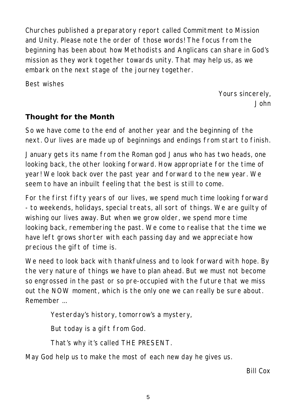Churches published a preparatory report called Commitment to Mission and Unity. Please note the order of those words! The focus from the beginning has been about how Methodists and Anglicans can share in God's mission as they work together towards unity. That may help us, as we embark on the next stage of the journey together.

Best wishes

*Yours sincerely, John*

#### **Thought for the Month**

So we have come to the end of another year and the beginning of the next. Our lives are made up of beginnings and endings from start to finish.

January gets its name from the Roman god Janus who has two heads, one looking back, the other looking forward. How appropriate for the time of year! We look back over the past year and forward to the new year. We seem to have an inbuilt feeling that the best is still to come.

For the first fifty years of our lives, we spend much time looking forward - to weekends, holidays, special treats, all sort of things. We are guilty of wishing our lives away. But when we grow older, we spend more time looking back, remembering the past. We come to realise that the time we have left grows shorter with each passing day and we appreciate how precious the gift of time is.

We need to look back with thankfulness and to look forward with hope. By the very nature of things we have to plan ahead. But we must not become so engrossed in the past or so pre-occupied with the future that we miss out the NOW moment, which is the only one we can really be sure about. Remember ...

Yesterday's history, tomorrow's a mystery,

But today is a gift from God.

That's why it's called THE PRESENT.

May God help us to make the most of each new day he gives us.

*Bill Cox*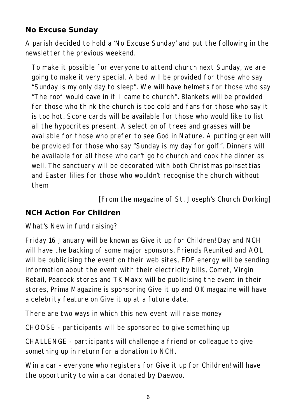## **No Excuse Sunday**

A parish decided to hold a 'No Excuse Sunday' and put the following in the newsletter the previous weekend.

To make it possible for everyone to attend church next Sunday, we are going to make it very special. A bed will be provided for those who say "Sunday is my only day to sleep". We will have helmets for those who say "The roof would cave in if I came to church". Blankets will be provided for those who think the church is too cold and fans for those who say it is too hot. Score cards will be available for those who would like to list all the hypocrites present. A selection of trees and grasses will be available for those who prefer to see God in Nature. A putting green will be provided for those who say "Sunday is my day for golf". Dinners will be available for all those who can't go to church and cook the dinner as well. The sanctuary will be decorated with both Christmas poinsettias and Easter lilies for those who wouldn't recognise the church without them

*[From the magazine of St. Joseph's Church Dorking]*

## **NCH Action For Children**

What's New in fund raising?

Friday 16 January will be known as Give it up for Children! Day and NCH will have the backing of some major sponsors. Friends Reunited and AOL will be publicising the event on their web sites, EDF energy will be sending information about the event with their electricity bills, Comet, Virgin Retail, Peacock stores and TK Maxx will be publicising the event in their stores, Prima Magazine is sponsoring Give it up and OK magazine will have a celebrity feature on Give it up at a future date.

There are two ways in which this new event will raise money

CHOOSE - participants will be sponsored to give something up

CHALLENGE - participants will challenge a friend or colleague to give something up in return for a donation to NCH.

Win a car - everyone who registers for Give it up for Children! will have the opportunity to win a car donated by Daewoo.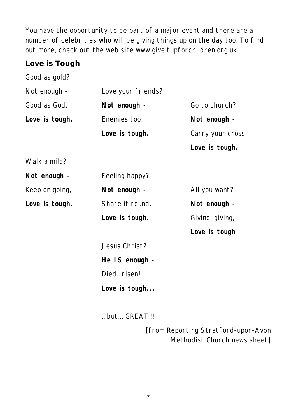You have the opportunity to be part of a major event and there are a number of celebrities who will be giving things up on the day too. To find out more, check out the web site www.giveitupforchildren.org.uk

## **Love is Tough**

Good as gold? Not enough - Love your friends? Good as God. **Not enough -** Go to church? Love is tough. **Enemies too.** Not enough -

Love is tough. Carry your cross. **Love is tough.**

Walk a mile?

| Not enough -   | Feeling happy?  |                 |
|----------------|-----------------|-----------------|
| Keep on going, | Not enough -    | All you want?   |
| Love is tough. | Share it round. | Not enough -    |
|                | Love is tough.  | Giving, giving, |

**Love is tough**

Jesus Christ? **He IS enough -** Died...risen! **Love is tough...**

...but... GREAT!!!!

*[from Reporting Stratford-upon-Avon Methodist Church news sheet]*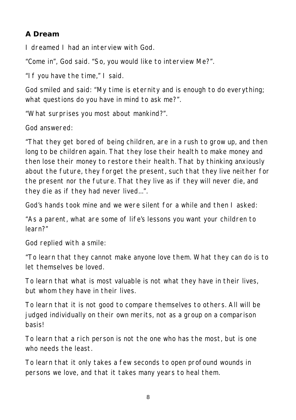## **A Dream**

I dreamed I had an interview with God.

"Come in", God said. "So, you would like to interview Me?".

"If you have the time," I said.

God smiled and said: "My time is eternity and is enough to do everything; what questions do you have in mind to ask me?".

"What surprises you most about mankind?".

God answered:

"That they get bored of being children, are in a rush to grow up, and then long to be children again. That they lose their health to make money and then lose their money to restore their health. That by thinking anxiously about the future, they forget the present, such that they live neither for the present nor the future. That they live as if they will never die, and they die as if they had never lived...".

God's hands took mine and we were silent for a while and then I asked:

"As a parent, what are some of life's lessons you want your children to learn?"

God replied with a smile:

"To learn that they cannot make anyone love them. What they can do is to let themselves be loved.

To learn that what is most valuable is not what they have in their lives, but whom they have in their lives.

To learn that it is not good to compare themselves to others. All will be judged individually on their own merits, not as a group on a comparison basis!

To learn that a rich person is not the one who has the most, but is one who needs the least.

To learn that it only takes a few seconds to open profound wounds in persons we love, and that it takes many years to heal them.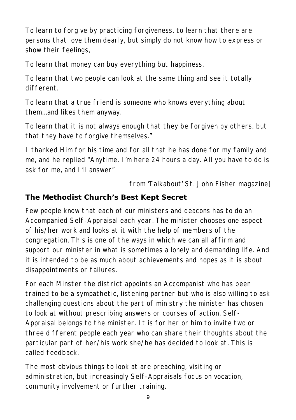To learn to forgive by practicing forgiveness, to learn that there are persons that love them dearly, but simply do not know how to express or show their feelings,

To learn that money can buy everything but happiness.

To learn that two people can look at the same thing and see it totally different.

To learn that a true friend is someone who knows everything about them...and likes them anyway.

To learn that it is not always enough that they be forgiven by others, but that they have to forgive themselves."

I thanked Him for his time and for all that he has done for my family and me, and he replied "Anytime. I'm here 24 hours a day. All you have to do is ask for me, and I'll answer"

*from 'Talkabout' St. John Fisher magazine]*

# **The Methodist Church's Best Kept Secret**

Few people know that each of our ministers and deacons has to do an Accompanied Self-Appraisal each year. The minister chooses one aspect of his/her work and looks at it with the help of members of the congregation. This is one of the ways in which we can all affirm and support our minister in what is sometimes a lonely and demanding life. And it is intended to be as much about achievements and hopes as it is about disappointments or failures.

For each Minster the district appoints an Accompanist who has been trained to be a sympathetic, listening partner but who is also willing to ask challenging questions about the part of ministry the minister has chosen to look at without prescribing answers or courses of action. Self-Appraisal belongs to the minister. It is for her or him to invite two or three different people each year who can share their thoughts about the particular part of her/his work she/he has decided to look at. This is called feedback.

The most obvious things to look at are preaching, visiting or administration, but increasingly Self-Appraisals focus on vocation, community involvement or further training.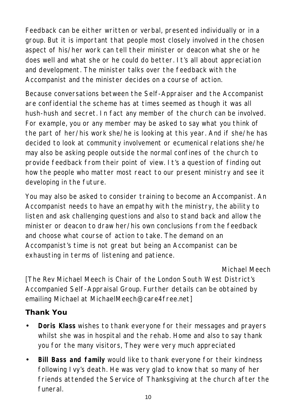Feedback can be either written or verbal, presented individually or in a group. But it is important that people most closely involved in the chosen aspect of his/her work can tell their minister or deacon what she or he does well and what she or he could do better. It's all about appreciation and development. The minister talks over the feedback with the Accompanist and the minister decides on a course of action.

Because conversations between the Self-Appraiser and the Accompanist are confidential the scheme has at times seemed as though it was all hush-hush and secret. In fact any member of the church can be involved. For example, you or any member may be asked to say what you think of the part of her/his work she/he is looking at this year. And if she/he has decided to look at community involvement or ecumenical relations she/he may also be asking people outside the normal confines of the church to provide feedback from their point of view. It's a question of finding out how the people who matter most react to our present ministry and see it developing in the future.

You may also be asked to consider training to become an Accompanist. An Accompanist needs to have an empathy with the ministry, the ability to listen and ask challenging questions and also to stand back and allow the minister or deacon to draw her/his own conclusions from the feedback and choose what course of action to take. The demand on an Accompanist's time is not great but being an Accompanist can be exhausting in terms of listening and patience.

#### *Michael Meech*

[The Rev Michael Meech is Chair of the London South West District's Accompanied Self-Appraisal Group. Further details can be obtained by emailing Michael at MichaelMeech@care4free.net]

## **Thank You**

- **Doris Klass** wishes to thank everyone for their messages and prayers whilst she was in hospital and the rehab. Home and also to say thank you for the many visitors, They were very much appreciated
- **Bill Bass and family** would like to thank everyone for their kindness following Ivy's death. He was very glad to know that so many of her friends attended the Service of Thanksgiving at the church after the funeral.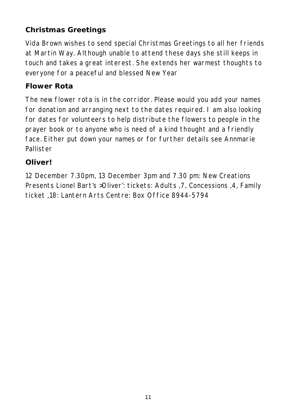# **Christmas Greetings**

Vida Brown wishes to send special Christmas Greetings to all her friends at Martin Way. Although unable to attend these days she still keeps in touch and takes a great interest. She extends her warmest thoughts to everyone for a peaceful and blessed New Year

## **Flower Rota**

The new flower rota is in the corridor. Please would you add your names for donation and arranging next to the dates required. I am also looking for dates for volunteers to help distribute the flowers to people in the prayer book or to anyone who is need of a kind thought and a friendly face. Either put down your names or for further details see Annmarie Pallister

## **Oliver!**

12 December 7.30pm, 13 December 3pm and 7.30 pm: New Creations Presents Lionel Bart's >Oliver': tickets: Adults ,7, Concessions ,4, Family ticket ,18: Lantern Arts Centre: Box Office 8944-5794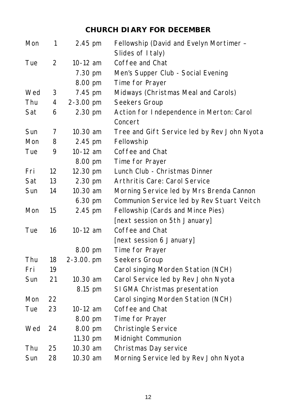# **CHURCH DIARY FOR DECEMBER**

| Mon | 1              | 2.45 pm    | Fellowship (David and Evelyn Mortimer -     |
|-----|----------------|------------|---------------------------------------------|
|     |                |            | Slides of I taly)                           |
| Tue | $\overline{2}$ | 10-12 am   | Coffee and Chat                             |
|     |                | 7.30 pm    | Men's Supper Club - Social Evening          |
|     |                | 8.00 pm    | Time for Prayer                             |
| Wed | 3              | 7.45 pm    | Midways (Christmas Meal and Carols)         |
| Thu | 4              | 2-3.00 pm  | Seekers Group                               |
| Sat | 6              | 2.30 pm    | Action for Independence in Merton: Carol    |
|     |                |            | Concert                                     |
| Sun | 7              | 10.30 am   | Tree and Gift Service led by Rev John Nyota |
| Mon | 8              | 2.45 pm    | Fellowship                                  |
| Tue | 9              | $10-12$ am | Coffee and Chat                             |
|     |                | 8.00 pm    | Time for Prayer                             |
| Fri | 12             | 12.30 pm   | Lunch Club - Christmas Dinner               |
| Sat | 13             | 2.30 pm    | Arthritis Care: Carol Service               |
| Sun | 14             | 10.30 am   | Morning Service led by Mrs Brenda Cannon    |
|     |                | 6.30 pm    | Communion Service led by Rev Stuart Veitch  |
| Mon | 15             | 2.45 pm    | Fellowship (Cards and Mince Pies)           |
|     |                |            | [next session on 5th January]               |
| Tue | 16             | 10-12 am   | Coffee and Chat                             |
|     |                |            | [next session 6 January]                    |
|     |                | 8.00 pm    | Time for Prayer                             |
| Thu | 18             | 2-3.00. pm | Seekers Group                               |
| Fri | 19             |            | Carol singing Morden Station (NCH)          |
| Sun | 21             | 10.30 am   | Carol Service led by Rev John Nyota         |
|     |                | 8.15 pm    | SIGMA Christmas presentation                |
| Mon | 22             |            | Carol singing Morden Station (NCH)          |
| Tue | 23             | 10-12 am   | Coffee and Chat                             |
|     |                | 8.00 pm    | Time for Prayer                             |
| Wed | 24             | 8.00 pm    | <b>Christingle Service</b>                  |
|     |                | 11.30 pm   | Midnight Communion                          |
| Thu | 25             | 10.30 am   | Christmas Day service                       |
| Sun | 28             | 10.30 am   | Morning Service led by Rev John Nyota       |